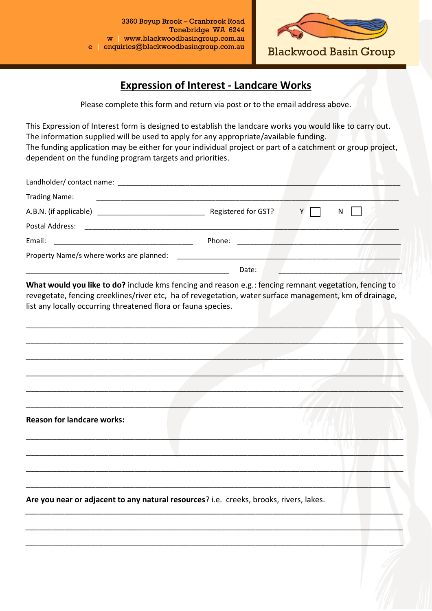

Blackwood Basin Group

## **Expression of Interest - Landcare Works**

Please complete this form and return via post or to the email address above.

This Expression of Interest form is designed to establish the landcare works you would like to carry out. The information supplied will be used to apply for any appropriate/available funding. The funding application may be either for your individual project or part of a catchment or group project, dependent on the funding program targets and priorities.

| <b>Trading Name:</b>                     |                     |   |
|------------------------------------------|---------------------|---|
| A.B.N. (if applicable)                   | Registered for GST? | N |
| Postal Address:                          |                     |   |
| Email:                                   | Phone:              |   |
| Property Name/s where works are planned: |                     |   |
|                                          | Date:               |   |

**What would you like to do?** include kms fencing and reason e.g.: fencing remnant vegetation, fencing to revegetate, fencing creeklines/river etc, ha of revegetation, water surface management, km of drainage, list any locally occurring threatened flora or fauna species.

\_\_\_\_\_\_\_\_\_\_\_\_\_\_\_\_\_\_\_\_\_\_\_\_\_\_\_\_\_\_\_\_\_\_\_\_\_\_\_\_\_\_\_\_\_\_\_\_\_\_\_\_\_\_\_\_\_\_\_\_\_\_\_\_\_\_\_\_\_\_\_\_\_\_\_\_\_\_\_\_\_\_\_\_\_\_\_

\_\_\_\_\_\_\_\_\_\_\_\_\_\_\_\_\_\_\_\_\_\_\_\_\_\_\_\_\_\_\_\_\_\_\_\_\_\_\_\_\_\_\_\_\_\_\_\_\_\_\_\_\_\_\_\_\_\_\_\_\_\_\_\_\_\_\_\_\_\_\_\_\_\_\_\_\_\_\_\_\_\_\_\_\_\_\_

\_\_\_\_\_\_\_\_\_\_\_\_\_\_\_\_\_\_\_\_\_\_\_\_\_\_\_\_\_\_\_\_\_\_\_\_\_\_\_\_\_\_\_\_\_\_\_\_\_\_\_\_\_\_\_\_\_\_\_\_\_\_\_\_\_\_\_\_\_\_\_\_\_\_\_\_\_\_\_\_\_\_\_\_\_\_\_

\_\_\_\_\_\_\_\_\_\_\_\_\_\_\_\_\_\_\_\_\_\_\_\_\_\_\_\_\_\_\_\_\_\_\_\_\_\_\_\_\_\_\_\_\_\_\_\_\_\_\_\_\_\_\_\_\_\_\_\_\_\_\_\_\_\_\_\_\_\_\_\_\_\_\_\_\_\_\_\_\_\_\_\_\_\_\_

\_\_\_\_\_\_\_\_\_\_\_\_\_\_\_\_\_\_\_\_\_\_\_\_\_\_\_\_\_\_\_\_\_\_\_\_\_\_\_\_\_\_\_\_\_\_\_\_\_\_\_\_\_\_\_\_\_\_\_\_\_\_\_\_\_\_\_\_\_\_\_\_\_\_\_\_\_\_\_\_\_\_\_\_\_\_\_

\_\_\_\_\_\_\_\_\_\_\_\_\_\_\_\_\_\_\_\_\_\_\_\_\_\_\_\_\_\_\_\_\_\_\_\_\_\_\_\_\_\_\_\_\_\_\_\_\_\_\_\_\_\_\_\_\_\_\_\_\_\_\_\_\_\_\_\_\_\_\_\_\_\_\_\_\_\_\_\_\_\_\_\_\_\_\_

\_\_\_\_\_\_\_\_\_\_\_\_\_\_\_\_\_\_\_\_\_\_\_\_\_\_\_\_\_\_\_\_\_\_\_\_\_\_\_\_\_\_\_\_\_\_\_\_\_\_\_\_\_\_\_\_\_\_\_\_\_\_\_\_\_\_\_\_\_\_\_\_\_\_\_\_\_\_\_\_\_\_\_\_\_\_\_

\_\_\_\_\_\_\_\_\_\_\_\_\_\_\_\_\_\_\_\_\_\_\_\_\_\_\_\_\_\_\_\_\_\_\_\_\_\_\_\_\_\_\_\_\_\_\_\_\_\_\_\_\_\_\_\_\_\_\_\_\_\_\_\_\_\_\_\_\_\_\_\_\_\_\_\_\_\_\_\_\_\_\_\_\_\_\_

\_\_\_\_\_\_\_\_\_\_\_\_\_\_\_\_\_\_\_\_\_\_\_\_\_\_\_\_\_\_\_\_\_\_\_\_\_\_\_\_\_\_\_\_\_\_\_\_\_\_\_\_\_\_\_\_\_\_\_\_\_\_\_\_\_\_\_\_\_\_\_\_\_\_\_\_\_\_\_\_\_\_\_\_\_\_\_

*\_\_\_\_\_\_\_\_\_\_\_\_\_\_\_\_\_\_\_\_\_\_\_\_\_\_\_\_\_\_\_\_\_\_\_\_\_\_\_\_\_\_\_\_\_\_\_\_\_\_\_\_\_\_\_\_\_\_\_\_\_\_\_\_\_\_\_\_\_\_\_\_\_\_\_\_\_\_\_\_\_\_\_\_\_\_\_*

*\_\_\_\_\_\_\_\_\_\_\_\_\_\_\_\_\_\_\_\_\_\_\_\_\_\_\_\_\_\_\_\_\_\_\_\_\_\_\_\_\_\_\_\_\_\_\_\_\_\_\_\_\_\_\_\_\_\_\_\_\_\_\_\_\_\_\_\_\_\_\_\_\_\_\_\_\_\_\_\_\_\_\_\_\_\_\_*

*\_\_\_\_\_\_\_\_\_\_\_\_\_\_\_\_\_\_\_\_\_\_\_\_\_\_\_\_\_\_\_\_\_\_\_\_\_\_\_\_\_\_\_\_\_\_\_\_\_\_\_\_\_\_\_\_\_\_\_\_\_\_\_\_\_\_\_\_\_\_\_\_\_\_\_\_\_\_\_\_\_\_\_\_\_\_\_*

\_\_\_\_\_\_\_\_\_\_\_\_\_\_\_\_\_\_\_\_\_\_\_\_\_\_\_\_\_\_\_\_\_\_\_\_\_\_\_\_\_\_\_\_\_\_\_\_\_\_\_\_\_\_\_\_\_\_\_\_\_\_\_\_\_\_\_\_\_\_\_\_\_\_\_\_\_\_\_\_\_\_\_\_

**Reason for landcare works:**

**Are you near or adjacent to any natural resources**? i.e. creeks, brooks, rivers, lakes.